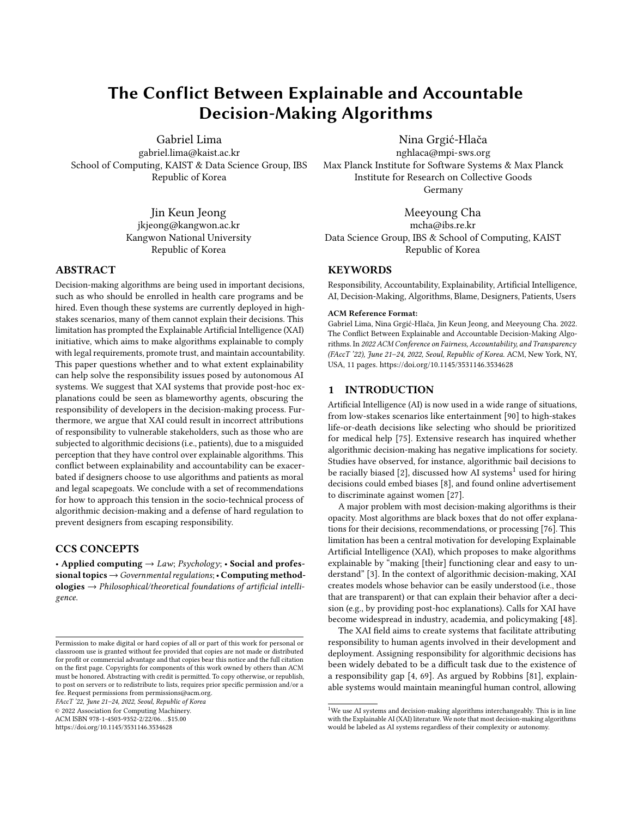# The Conflict Between Explainable and Accountable Decision-Making Algorithms

[Gabriel Lima](https://orcid.org/0000-0002-2361-350X) gabriel.lima@kaist.ac.kr

School of Computing, KAIST & Data Science Group, IBS Republic of Korea

> Jin Keun Jeong jkjeong@kangwon.ac.kr Kangwon National University Republic of Korea

## ABSTRACT

Decision-making algorithms are being used in important decisions, such as who should be enrolled in health care programs and be hired. Even though these systems are currently deployed in highstakes scenarios, many of them cannot explain their decisions. This limitation has prompted the Explainable Artificial Intelligence (XAI) initiative, which aims to make algorithms explainable to comply with legal requirements, promote trust, and maintain accountability. This paper questions whether and to what extent explainability can help solve the responsibility issues posed by autonomous AI systems. We suggest that XAI systems that provide post-hoc explanations could be seen as blameworthy agents, obscuring the responsibility of developers in the decision-making process. Furthermore, we argue that XAI could result in incorrect attributions of responsibility to vulnerable stakeholders, such as those who are subjected to algorithmic decisions (i.e., patients), due to a misguided perception that they have control over explainable algorithms. This conflict between explainability and accountability can be exacerbated if designers choose to use algorithms and patients as moral and legal scapegoats. We conclude with a set of recommendations for how to approach this tension in the socio-technical process of algorithmic decision-making and a defense of hard regulation to prevent designers from escaping responsibility.

# CCS CONCEPTS

• Applied computing  $\rightarrow$  Law; Psychology; • Social and professional topics → Governmental regulations; • Computing method $ologies \rightarrow Philosophical/theoretical foundations of artificial intelligi$ gence.

FAccT '22, June 21–24, 2022, Seoul, Republic of Korea

© 2022 Association for Computing Machinery.

ACM ISBN 978-1-4503-9352-2/22/06. . . \$15.00

<https://doi.org/10.1145/3531146.3534628>

[Nina Grgić-Hlača](https://orcid.org/0000-0003-3397-2984)

nghlaca@mpi-sws.org Max Planck Institute for Software Systems & Max Planck Institute for Research on Collective Goods Germany

[Meeyoung Cha](https://orcid.org/0000-0003-4085-9648) mcha@ibs.re.kr Data Science Group, IBS & School of Computing, KAIST Republic of Korea

# **KEYWORDS**

Responsibility, Accountability, Explainability, Artificial Intelligence, AI, Decision-Making, Algorithms, Blame, Designers, Patients, Users

#### ACM Reference Format:

Gabriel Lima, Nina Grgić-Hlača, Jin Keun Jeong, and Meeyoung Cha. 2022. The Conflict Between Explainable and Accountable Decision-Making Algorithms. In 2022 ACM Conference on Fairness, Accountability, and Transparency (FAccT '22), June 21–24, 2022, Seoul, Republic of Korea. ACM, New York, NY, USA, [11](#page-10-0) pages.<https://doi.org/10.1145/3531146.3534628>

# 1 INTRODUCTION

Artificial Intelligence (AI) is now used in a wide range of situations, from low-stakes scenarios like entertainment [\[90\]](#page-10-1) to high-stakes life-or-death decisions like selecting who should be prioritized for medical help [\[75\]](#page-10-2). Extensive research has inquired whether algorithmic decision-making has negative implications for society. Studies have observed, for instance, algorithmic bail decisions to be racially biased [\[2\]](#page-8-0), discussed how AI systems<sup>[1](#page-0-0)</sup> used for hiring decisions could embed biases [\[8\]](#page-9-0), and found online advertisement to discriminate against women [\[27\]](#page-9-1).

A major problem with most decision-making algorithms is their opacity. Most algorithms are black boxes that do not offer explanations for their decisions, recommendations, or processing [\[76\]](#page-10-3). This limitation has been a central motivation for developing Explainable Artificial Intelligence (XAI), which proposes to make algorithms explainable by "making [their] functioning clear and easy to understand" [\[3\]](#page-8-1). In the context of algorithmic decision-making, XAI creates models whose behavior can be easily understood (i.e., those that are transparent) or that can explain their behavior after a decision (e.g., by providing post-hoc explanations). Calls for XAI have become widespread in industry, academia, and policymaking [\[48\]](#page-9-2).

The XAI field aims to create systems that facilitate attributing responsibility to human agents involved in their development and deployment. Assigning responsibility for algorithmic decisions has been widely debated to be a difficult task due to the existence of a responsibility gap [\[4,](#page-8-2) [69\]](#page-10-4). As argued by Robbins [\[81\]](#page-10-5), explainable systems would maintain meaningful human control, allowing

Permission to make digital or hard copies of all or part of this work for personal or classroom use is granted without fee provided that copies are not made or distributed for profit or commercial advantage and that copies bear this notice and the full citation on the first page. Copyrights for components of this work owned by others than ACM must be honored. Abstracting with credit is permitted. To copy otherwise, or republish, to post on servers or to redistribute to lists, requires prior specific permission and/or a fee. Request permissions from permissions@acm.org.

<span id="page-0-0"></span> $1$ We use AI systems and decision-making algorithms interchangeably. This is in line with the Explainable AI (XAI) literature. We note that most decision-making algorithms would be labeled as AI systems regardless of their complexity or autonomy.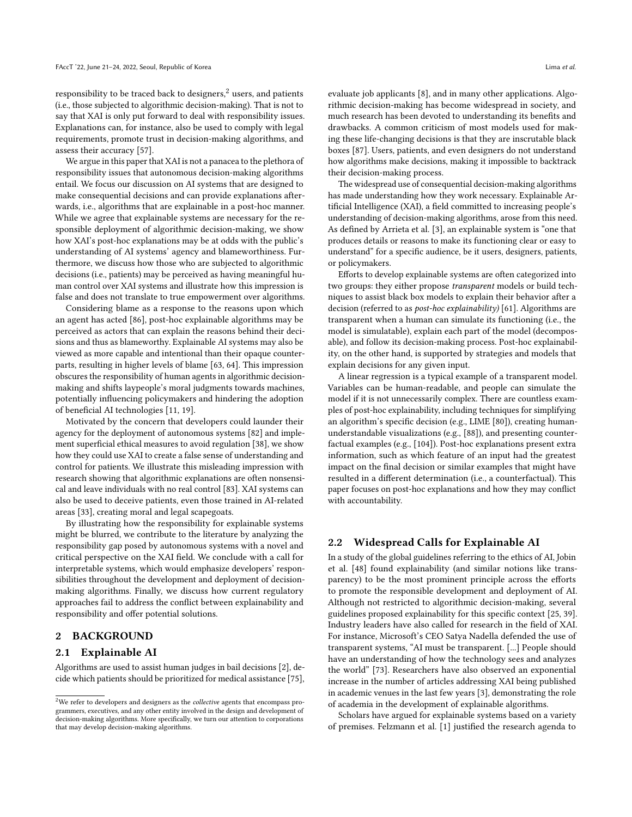responsibility to be traced back to designers, $2$  users, and patients (i.e., those subjected to algorithmic decision-making). That is not to say that XAI is only put forward to deal with responsibility issues. Explanations can, for instance, also be used to comply with legal requirements, promote trust in decision-making algorithms, and assess their accuracy [\[57\]](#page-9-3).

We argue in this paper that XAI is not a panacea to the plethora of responsibility issues that autonomous decision-making algorithms entail. We focus our discussion on AI systems that are designed to make consequential decisions and can provide explanations afterwards, i.e., algorithms that are explainable in a post-hoc manner. While we agree that explainable systems are necessary for the responsible deployment of algorithmic decision-making, we show how XAI's post-hoc explanations may be at odds with the public's understanding of AI systems' agency and blameworthiness. Furthermore, we discuss how those who are subjected to algorithmic decisions (i.e., patients) may be perceived as having meaningful human control over XAI systems and illustrate how this impression is false and does not translate to true empowerment over algorithms.

Considering blame as a response to the reasons upon which an agent has acted [\[86\]](#page-10-6), post-hoc explainable algorithms may be perceived as actors that can explain the reasons behind their decisions and thus as blameworthy. Explainable AI systems may also be viewed as more capable and intentional than their opaque counterparts, resulting in higher levels of blame [\[63,](#page-10-7) [64\]](#page-10-8). This impression obscures the responsibility of human agents in algorithmic decisionmaking and shifts laypeople's moral judgments towards machines, potentially influencing policymakers and hindering the adoption of beneficial AI technologies [\[11,](#page-9-4) [19\]](#page-9-5).

Motivated by the concern that developers could launder their agency for the deployment of autonomous systems [\[82\]](#page-10-9) and implement superficial ethical measures to avoid regulation [\[38\]](#page-9-6), we show how they could use XAI to create a false sense of understanding and control for patients. We illustrate this misleading impression with research showing that algorithmic explanations are often nonsensical and leave individuals with no real control [\[83\]](#page-10-10). XAI systems can also be used to deceive patients, even those trained in AI-related areas [\[33\]](#page-9-7), creating moral and legal scapegoats.

By illustrating how the responsibility for explainable systems might be blurred, we contribute to the literature by analyzing the responsibility gap posed by autonomous systems with a novel and critical perspective on the XAI field. We conclude with a call for interpretable systems, which would emphasize developers' responsibilities throughout the development and deployment of decisionmaking algorithms. Finally, we discuss how current regulatory approaches fail to address the conflict between explainability and responsibility and offer potential solutions.

# 2 BACKGROUND

#### 2.1 Explainable AI

Algorithms are used to assist human judges in bail decisions [\[2\]](#page-8-0), decide which patients should be prioritized for medical assistance [\[75\]](#page-10-2), evaluate job applicants [\[8\]](#page-9-0), and in many other applications. Algorithmic decision-making has become widespread in society, and much research has been devoted to understanding its benefits and drawbacks. A common criticism of most models used for making these life-changing decisions is that they are inscrutable black boxes [\[87\]](#page-10-11). Users, patients, and even designers do not understand how algorithms make decisions, making it impossible to backtrack their decision-making process.

The widespread use of consequential decision-making algorithms has made understanding how they work necessary. Explainable Artificial Intelligence (XAI), a field committed to increasing people's understanding of decision-making algorithms, arose from this need. As defined by Arrieta et al. [\[3\]](#page-8-1), an explainable system is "one that produces details or reasons to make its functioning clear or easy to understand" for a specific audience, be it users, designers, patients, or policymakers.

Efforts to develop explainable systems are often categorized into two groups: they either propose transparent models or build techniques to assist black box models to explain their behavior after a decision (referred to as post-hoc explainability) [\[61\]](#page-10-12). Algorithms are transparent when a human can simulate its functioning (i.e., the model is simulatable), explain each part of the model (decomposable), and follow its decision-making process. Post-hoc explainability, on the other hand, is supported by strategies and models that explain decisions for any given input.

A linear regression is a typical example of a transparent model. Variables can be human-readable, and people can simulate the model if it is not unnecessarily complex. There are countless examples of post-hoc explainability, including techniques for simplifying an algorithm's specific decision (e.g., LIME [\[80\]](#page-10-13)), creating humanunderstandable visualizations (e.g., [\[88\]](#page-10-14)), and presenting counterfactual examples (e.g., [\[104\]](#page-10-15)). Post-hoc explanations present extra information, such as which feature of an input had the greatest impact on the final decision or similar examples that might have resulted in a different determination (i.e., a counterfactual). This paper focuses on post-hoc explanations and how they may conflict with accountability.

## 2.2 Widespread Calls for Explainable AI

In a study of the global guidelines referring to the ethics of AI, Jobin et al. [\[48\]](#page-9-2) found explainability (and similar notions like transparency) to be the most prominent principle across the efforts to promote the responsible development and deployment of AI. Although not restricted to algorithmic decision-making, several guidelines proposed explainability for this specific context [\[25,](#page-9-8) [39\]](#page-9-9). Industry leaders have also called for research in the field of XAI. For instance, Microsoft's CEO Satya Nadella defended the use of transparent systems, "AI must be transparent. [...] People should have an understanding of how the technology sees and analyzes the world" [\[73\]](#page-10-16). Researchers have also observed an exponential increase in the number of articles addressing XAI being published in academic venues in the last few years [\[3\]](#page-8-1), demonstrating the role of academia in the development of explainable algorithms.

Scholars have argued for explainable systems based on a variety of premises. Felzmann et al. [\[1\]](#page-8-3) justified the research agenda to

<span id="page-1-0"></span> $^2\rm{We}$  refer to developers and designers as the  $collective$  agents that encompass programmers, executives, and any other entity involved in the design and development of decision-making algorithms. More specifically, we turn our attention to corporations that may develop decision-making algorithms.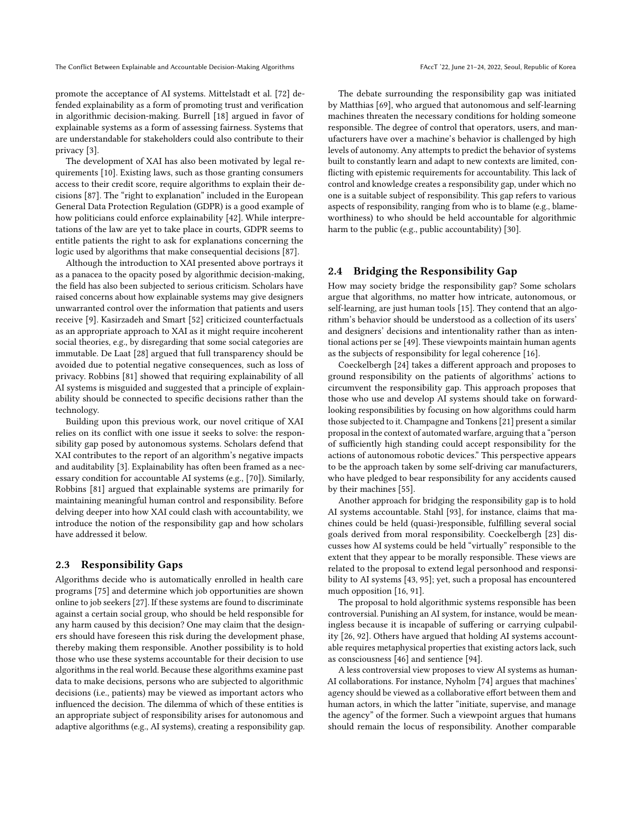promote the acceptance of AI systems. Mittelstadt et al. [\[72\]](#page-10-17) defended explainability as a form of promoting trust and verification in algorithmic decision-making. Burrell [\[18\]](#page-9-10) argued in favor of explainable systems as a form of assessing fairness. Systems that are understandable for stakeholders could also contribute to their privacy [\[3\]](#page-8-1).

The development of XAI has also been motivated by legal requirements [\[10\]](#page-9-11). Existing laws, such as those granting consumers access to their credit score, require algorithms to explain their decisions [\[87\]](#page-10-11). The "right to explanation" included in the European General Data Protection Regulation (GDPR) is a good example of how politicians could enforce explainability [\[42\]](#page-9-12). While interpretations of the law are yet to take place in courts, GDPR seems to entitle patients the right to ask for explanations concerning the logic used by algorithms that make consequential decisions [\[87\]](#page-10-11).

Although the introduction to XAI presented above portrays it as a panacea to the opacity posed by algorithmic decision-making, the field has also been subjected to serious criticism. Scholars have raised concerns about how explainable systems may give designers unwarranted control over the information that patients and users receive [\[9\]](#page-9-13). Kasirzadeh and Smart [\[52\]](#page-9-14) criticized counterfactuals as an appropriate approach to XAI as it might require incoherent social theories, e.g., by disregarding that some social categories are immutable. De Laat [\[28\]](#page-9-15) argued that full transparency should be avoided due to potential negative consequences, such as loss of privacy. Robbins [\[81\]](#page-10-5) showed that requiring explainability of all AI systems is misguided and suggested that a principle of explainability should be connected to specific decisions rather than the technology.

Building upon this previous work, our novel critique of XAI relies on its conflict with one issue it seeks to solve: the responsibility gap posed by autonomous systems. Scholars defend that XAI contributes to the report of an algorithm's negative impacts and auditability [\[3\]](#page-8-1). Explainability has often been framed as a necessary condition for accountable AI systems (e.g., [\[70\]](#page-10-18)). Similarly, Robbins [\[81\]](#page-10-5) argued that explainable systems are primarily for maintaining meaningful human control and responsibility. Before delving deeper into how XAI could clash with accountability, we introduce the notion of the responsibility gap and how scholars have addressed it below.

## 2.3 Responsibility Gaps

Algorithms decide who is automatically enrolled in health care programs [\[75\]](#page-10-2) and determine which job opportunities are shown online to job seekers [\[27\]](#page-9-1). If these systems are found to discriminate against a certain social group, who should be held responsible for any harm caused by this decision? One may claim that the designers should have foreseen this risk during the development phase, thereby making them responsible. Another possibility is to hold those who use these systems accountable for their decision to use algorithms in the real world. Because these algorithms examine past data to make decisions, persons who are subjected to algorithmic decisions (i.e., patients) may be viewed as important actors who influenced the decision. The dilemma of which of these entities is an appropriate subject of responsibility arises for autonomous and adaptive algorithms (e.g., AI systems), creating a responsibility gap.

The debate surrounding the responsibility gap was initiated by Matthias [\[69\]](#page-10-4), who argued that autonomous and self-learning machines threaten the necessary conditions for holding someone responsible. The degree of control that operators, users, and manufacturers have over a machine's behavior is challenged by high levels of autonomy. Any attempts to predict the behavior of systems built to constantly learn and adapt to new contexts are limited, conflicting with epistemic requirements for accountability. This lack of control and knowledge creates a responsibility gap, under which no one is a suitable subject of responsibility. This gap refers to various aspects of responsibility, ranging from who is to blame (e.g., blameworthiness) to who should be held accountable for algorithmic harm to the public (e.g., public accountability) [\[30\]](#page-9-16).

# 2.4 Bridging the Responsibility Gap

How may society bridge the responsibility gap? Some scholars argue that algorithms, no matter how intricate, autonomous, or self-learning, are just human tools [\[15\]](#page-9-17). They contend that an algorithm's behavior should be understood as a collection of its users' and designers' decisions and intentionality rather than as intentional actions per se [\[49\]](#page-9-18). These viewpoints maintain human agents as the subjects of responsibility for legal coherence [\[16\]](#page-9-19).

Coeckelbergh [\[24\]](#page-9-20) takes a different approach and proposes to ground responsibility on the patients of algorithms' actions to circumvent the responsibility gap. This approach proposes that those who use and develop AI systems should take on forwardlooking responsibilities by focusing on how algorithms could harm those subjected to it. Champagne and Tonkens[\[21\]](#page-9-21) present a similar proposal in the context of automated warfare, arguing that a "person of sufficiently high standing could accept responsibility for the actions of autonomous robotic devices." This perspective appears to be the approach taken by some self-driving car manufacturers, who have pledged to bear responsibility for any accidents caused by their machines [\[55\]](#page-9-22).

Another approach for bridging the responsibility gap is to hold AI systems accountable. Stahl [\[93\]](#page-10-19), for instance, claims that machines could be held (quasi-)responsible, fulfilling several social goals derived from moral responsibility. Coeckelbergh [\[23\]](#page-9-23) discusses how AI systems could be held "virtually" responsible to the extent that they appear to be morally responsible. These views are related to the proposal to extend legal personhood and responsibility to AI systems [\[43,](#page-9-24) [95\]](#page-10-20); yet, such a proposal has encountered much opposition [\[16,](#page-9-19) [91\]](#page-10-21).

The proposal to hold algorithmic systems responsible has been controversial. Punishing an AI system, for instance, would be meaningless because it is incapable of suffering or carrying culpability [\[26,](#page-9-25) [92\]](#page-10-22). Others have argued that holding AI systems accountable requires metaphysical properties that existing actors lack, such as consciousness [\[46\]](#page-9-26) and sentience [\[94\]](#page-10-23).

A less controversial view proposes to view AI systems as human-AI collaborations. For instance, Nyholm [\[74\]](#page-10-24) argues that machines' agency should be viewed as a collaborative effort between them and human actors, in which the latter "initiate, supervise, and manage the agency" of the former. Such a viewpoint argues that humans should remain the locus of responsibility. Another comparable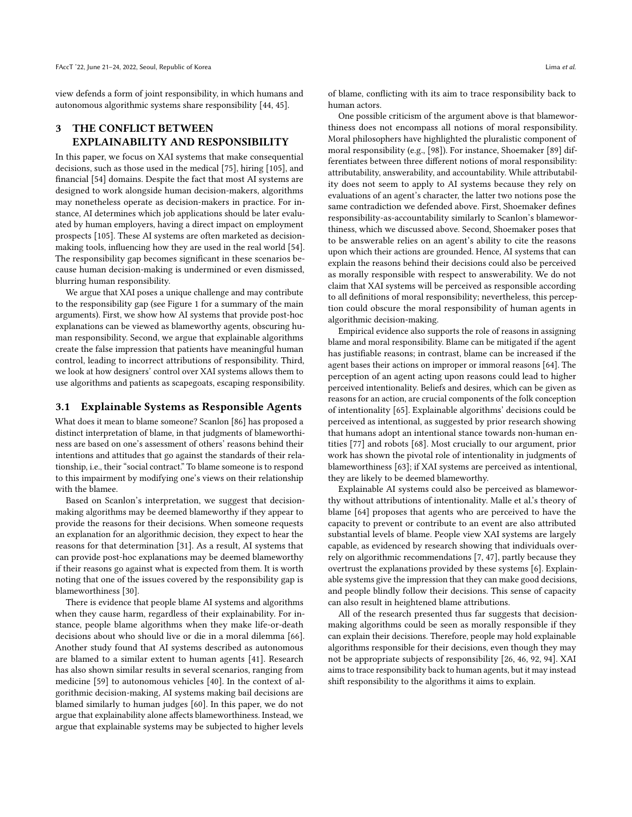view defends a form of joint responsibility, in which humans and autonomous algorithmic systems share responsibility [\[44,](#page-9-27) [45\]](#page-9-28).

# 3 THE CONFLICT BETWEEN EXPLAINABILITY AND RESPONSIBILITY

In this paper, we focus on XAI systems that make consequential decisions, such as those used in the medical [\[75\]](#page-10-2), hiring [\[105\]](#page-10-25), and financial [\[54\]](#page-9-29) domains. Despite the fact that most AI systems are designed to work alongside human decision-makers, algorithms may nonetheless operate as decision-makers in practice. For instance, AI determines which job applications should be later evaluated by human employers, having a direct impact on employment prospects [\[105\]](#page-10-25). These AI systems are often marketed as decisionmaking tools, influencing how they are used in the real world [\[54\]](#page-9-29). The responsibility gap becomes significant in these scenarios because human decision-making is undermined or even dismissed, blurring human responsibility.

We argue that XAI poses a unique challenge and may contribute to the responsibility gap (see Figure [1](#page-4-0) for a summary of the main arguments). First, we show how AI systems that provide post-hoc explanations can be viewed as blameworthy agents, obscuring human responsibility. Second, we argue that explainable algorithms create the false impression that patients have meaningful human control, leading to incorrect attributions of responsibility. Third, we look at how designers' control over XAI systems allows them to use algorithms and patients as scapegoats, escaping responsibility.

#### 3.1 Explainable Systems as Responsible Agents

What does it mean to blame someone? Scanlon [\[86\]](#page-10-6) has proposed a distinct interpretation of blame, in that judgments of blameworthiness are based on one's assessment of others' reasons behind their intentions and attitudes that go against the standards of their relationship, i.e., their "social contract." To blame someone is to respond to this impairment by modifying one's views on their relationship with the blamee.

Based on Scanlon's interpretation, we suggest that decisionmaking algorithms may be deemed blameworthy if they appear to provide the reasons for their decisions. When someone requests an explanation for an algorithmic decision, they expect to hear the reasons for that determination [\[31\]](#page-9-30). As a result, AI systems that can provide post-hoc explanations may be deemed blameworthy if their reasons go against what is expected from them. It is worth noting that one of the issues covered by the responsibility gap is blameworthiness [\[30\]](#page-9-16).

There is evidence that people blame AI systems and algorithms when they cause harm, regardless of their explainability. For instance, people blame algorithms when they make life-or-death decisions about who should live or die in a moral dilemma [\[66\]](#page-10-26). Another study found that AI systems described as autonomous are blamed to a similar extent to human agents [\[41\]](#page-9-31). Research has also shown similar results in several scenarios, ranging from medicine [\[59\]](#page-10-27) to autonomous vehicles [\[40\]](#page-9-32). In the context of algorithmic decision-making, AI systems making bail decisions are blamed similarly to human judges [\[60\]](#page-10-28). In this paper, we do not argue that explainability alone affects blameworthiness. Instead, we argue that explainable systems may be subjected to higher levels

of blame, conflicting with its aim to trace responsibility back to human actors.

One possible criticism of the argument above is that blameworthiness does not encompass all notions of moral responsibility. Moral philosophers have highlighted the pluralistic component of moral responsibility (e.g., [\[98\]](#page-10-29)). For instance, Shoemaker [\[89\]](#page-10-30) differentiates between three different notions of moral responsibility: attributability, answerability, and accountability. While attributability does not seem to apply to AI systems because they rely on evaluations of an agent's character, the latter two notions pose the same contradiction we defended above. First, Shoemaker defines responsibility-as-accountability similarly to Scanlon's blameworthiness, which we discussed above. Second, Shoemaker poses that to be answerable relies on an agent's ability to cite the reasons upon which their actions are grounded. Hence, AI systems that can explain the reasons behind their decisions could also be perceived as morally responsible with respect to answerability. We do not claim that XAI systems will be perceived as responsible according to all definitions of moral responsibility; nevertheless, this perception could obscure the moral responsibility of human agents in algorithmic decision-making.

Empirical evidence also supports the role of reasons in assigning blame and moral responsibility. Blame can be mitigated if the agent has justifiable reasons; in contrast, blame can be increased if the agent bases their actions on improper or immoral reasons [\[64\]](#page-10-8). The perception of an agent acting upon reasons could lead to higher perceived intentionality. Beliefs and desires, which can be given as reasons for an action, are crucial components of the folk conception of intentionality [\[65\]](#page-10-31). Explainable algorithms' decisions could be perceived as intentional, as suggested by prior research showing that humans adopt an intentional stance towards non-human entities [\[77\]](#page-10-32) and robots [\[68\]](#page-10-33). Most crucially to our argument, prior work has shown the pivotal role of intentionality in judgments of blameworthiness [\[63\]](#page-10-7); if XAI systems are perceived as intentional, they are likely to be deemed blameworthy.

Explainable AI systems could also be perceived as blameworthy without attributions of intentionality. Malle et al.'s theory of blame [\[64\]](#page-10-8) proposes that agents who are perceived to have the capacity to prevent or contribute to an event are also attributed substantial levels of blame. People view XAI systems are largely capable, as evidenced by research showing that individuals overrely on algorithmic recommendations [\[7,](#page-9-33) [47\]](#page-9-34), partly because they overtrust the explanations provided by these systems [\[6\]](#page-9-35). Explainable systems give the impression that they can make good decisions, and people blindly follow their decisions. This sense of capacity can also result in heightened blame attributions.

All of the research presented thus far suggests that decisionmaking algorithms could be seen as morally responsible if they can explain their decisions. Therefore, people may hold explainable algorithms responsible for their decisions, even though they may not be appropriate subjects of responsibility [\[26,](#page-9-25) [46,](#page-9-26) [92,](#page-10-22) [94\]](#page-10-23). XAI aims to trace responsibility back to human agents, but it may instead shift responsibility to the algorithms it aims to explain.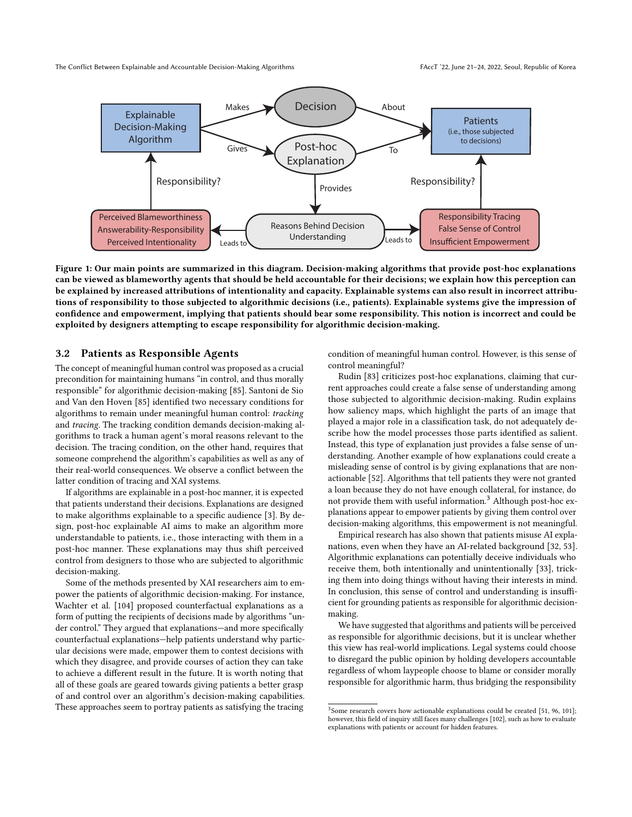<span id="page-4-0"></span>

Figure 1: Our main points are summarized in this diagram. Decision-making algorithms that provide post-hoc explanations can be viewed as blameworthy agents that should be held accountable for their decisions; we explain how this perception can be explained by increased attributions of intentionality and capacity. Explainable systems can also result in incorrect attributions of responsibility to those subjected to algorithmic decisions (i.e., patients). Explainable systems give the impression of confidence and empowerment, implying that patients should bear some responsibility. This notion is incorrect and could be exploited by designers attempting to escape responsibility for algorithmic decision-making.

#### 3.2 Patients as Responsible Agents

The concept of meaningful human control was proposed as a crucial precondition for maintaining humans "in control, and thus morally responsible" for algorithmic decision-making [\[85\]](#page-10-34). Santoni de Sio and Van den Hoven [\[85\]](#page-10-34) identified two necessary conditions for algorithms to remain under meaningful human control: tracking and tracing. The tracking condition demands decision-making algorithms to track a human agent's moral reasons relevant to the decision. The tracing condition, on the other hand, requires that someone comprehend the algorithm's capabilities as well as any of their real-world consequences. We observe a conflict between the latter condition of tracing and XAI systems.

If algorithms are explainable in a post-hoc manner, it is expected that patients understand their decisions. Explanations are designed to make algorithms explainable to a specific audience [\[3\]](#page-8-1). By design, post-hoc explainable AI aims to make an algorithm more understandable to patients, i.e., those interacting with them in a post-hoc manner. These explanations may thus shift perceived control from designers to those who are subjected to algorithmic decision-making.

Some of the methods presented by XAI researchers aim to empower the patients of algorithmic decision-making. For instance, Wachter et al. [\[104\]](#page-10-15) proposed counterfactual explanations as a form of putting the recipients of decisions made by algorithms "under control." They argued that explanations—and more specifically counterfactual explanations—help patients understand why particular decisions were made, empower them to contest decisions with which they disagree, and provide courses of action they can take to achieve a different result in the future. It is worth noting that all of these goals are geared towards giving patients a better grasp of and control over an algorithm's decision-making capabilities. These approaches seem to portray patients as satisfying the tracing

condition of meaningful human control. However, is this sense of control meaningful?

Rudin [\[83\]](#page-10-10) criticizes post-hoc explanations, claiming that current approaches could create a false sense of understanding among those subjected to algorithmic decision-making. Rudin explains how saliency maps, which highlight the parts of an image that played a major role in a classification task, do not adequately describe how the model processes those parts identified as salient. Instead, this type of explanation just provides a false sense of understanding. Another example of how explanations could create a misleading sense of control is by giving explanations that are nonactionable [\[52\]](#page-9-14). Algorithms that tell patients they were not granted a loan because they do not have enough collateral, for instance, do not provide them with useful information.<sup>[3](#page-4-1)</sup> Although post-hoc explanations appear to empower patients by giving them control over decision-making algorithms, this empowerment is not meaningful.

Empirical research has also shown that patients misuse AI explanations, even when they have an AI-related background [\[32,](#page-9-36) [53\]](#page-9-37). Algorithmic explanations can potentially deceive individuals who receive them, both intentionally and unintentionally [\[33\]](#page-9-7), tricking them into doing things without having their interests in mind. In conclusion, this sense of control and understanding is insufficient for grounding patients as responsible for algorithmic decisionmaking.

We have suggested that algorithms and patients will be perceived as responsible for algorithmic decisions, but it is unclear whether this view has real-world implications. Legal systems could choose to disregard the public opinion by holding developers accountable regardless of whom laypeople choose to blame or consider morally responsible for algorithmic harm, thus bridging the responsibility

<span id="page-4-1"></span><sup>&</sup>lt;sup>3</sup> Some research covers how actionable explanations could be created [\[51,](#page-9-38) [96,](#page-10-35) [101\]](#page-10-36); however, this field of inquiry still faces many challenges [\[102\]](#page-10-37), such as how to evaluate explanations with patients or account for hidden features.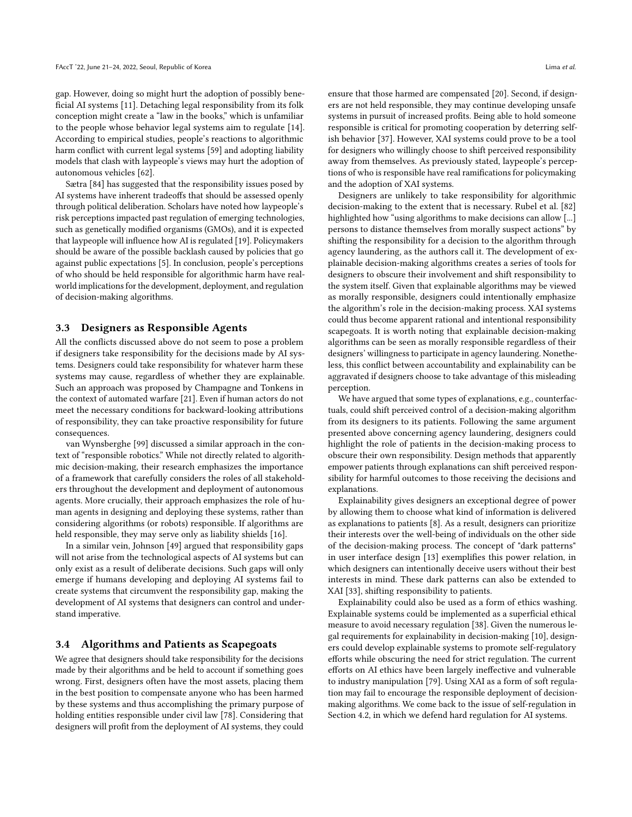gap. However, doing so might hurt the adoption of possibly beneficial AI systems [\[11\]](#page-9-4). Detaching legal responsibility from its folk conception might create a "law in the books," which is unfamiliar to the people whose behavior legal systems aim to regulate [\[14\]](#page-9-39). According to empirical studies, people's reactions to algorithmic harm conflict with current legal systems [\[59\]](#page-10-27) and adopting liability models that clash with laypeople's views may hurt the adoption of autonomous vehicles [\[62\]](#page-10-38).

Sætra [\[84\]](#page-10-39) has suggested that the responsibility issues posed by AI systems have inherent tradeoffs that should be assessed openly through political deliberation. Scholars have noted how laypeople's risk perceptions impacted past regulation of emerging technologies, such as genetically modified organisms (GMOs), and it is expected that laypeople will influence how AI is regulated [\[19\]](#page-9-5). Policymakers should be aware of the possible backlash caused by policies that go against public expectations [\[5\]](#page-8-4). In conclusion, people's perceptions of who should be held responsible for algorithmic harm have realworld implications for the development, deployment, and regulation of decision-making algorithms.

### 3.3 Designers as Responsible Agents

All the conflicts discussed above do not seem to pose a problem if designers take responsibility for the decisions made by AI systems. Designers could take responsibility for whatever harm these systems may cause, regardless of whether they are explainable. Such an approach was proposed by Champagne and Tonkens in the context of automated warfare [\[21\]](#page-9-21). Even if human actors do not meet the necessary conditions for backward-looking attributions of responsibility, they can take proactive responsibility for future consequences.

van Wynsberghe [\[99\]](#page-10-40) discussed a similar approach in the context of "responsible robotics." While not directly related to algorithmic decision-making, their research emphasizes the importance of a framework that carefully considers the roles of all stakeholders throughout the development and deployment of autonomous agents. More crucially, their approach emphasizes the role of human agents in designing and deploying these systems, rather than considering algorithms (or robots) responsible. If algorithms are held responsible, they may serve only as liability shields [\[16\]](#page-9-19).

In a similar vein, Johnson [\[49\]](#page-9-18) argued that responsibility gaps will not arise from the technological aspects of AI systems but can only exist as a result of deliberate decisions. Such gaps will only emerge if humans developing and deploying AI systems fail to create systems that circumvent the responsibility gap, making the development of AI systems that designers can control and understand imperative.

## 3.4 Algorithms and Patients as Scapegoats

We agree that designers should take responsibility for the decisions made by their algorithms and be held to account if something goes wrong. First, designers often have the most assets, placing them in the best position to compensate anyone who has been harmed by these systems and thus accomplishing the primary purpose of holding entities responsible under civil law [\[78\]](#page-10-41). Considering that designers will profit from the deployment of AI systems, they could ensure that those harmed are compensated [\[20\]](#page-9-40). Second, if designers are not held responsible, they may continue developing unsafe systems in pursuit of increased profits. Being able to hold someone responsible is critical for promoting cooperation by deterring selfish behavior [\[37\]](#page-9-41). However, XAI systems could prove to be a tool for designers who willingly choose to shift perceived responsibility away from themselves. As previously stated, laypeople's perceptions of who is responsible have real ramifications for policymaking and the adoption of XAI systems.

Designers are unlikely to take responsibility for algorithmic decision-making to the extent that is necessary. Rubel et al. [\[82\]](#page-10-9) highlighted how "using algorithms to make decisions can allow [...] persons to distance themselves from morally suspect actions" by shifting the responsibility for a decision to the algorithm through agency laundering, as the authors call it. The development of explainable decision-making algorithms creates a series of tools for designers to obscure their involvement and shift responsibility to the system itself. Given that explainable algorithms may be viewed as morally responsible, designers could intentionally emphasize the algorithm's role in the decision-making process. XAI systems could thus become apparent rational and intentional responsibility scapegoats. It is worth noting that explainable decision-making algorithms can be seen as morally responsible regardless of their designers' willingness to participate in agency laundering. Nonetheless, this conflict between accountability and explainability can be aggravated if designers choose to take advantage of this misleading perception.

We have argued that some types of explanations, e.g., counterfactuals, could shift perceived control of a decision-making algorithm from its designers to its patients. Following the same argument presented above concerning agency laundering, designers could highlight the role of patients in the decision-making process to obscure their own responsibility. Design methods that apparently empower patients through explanations can shift perceived responsibility for harmful outcomes to those receiving the decisions and explanations.

Explainability gives designers an exceptional degree of power by allowing them to choose what kind of information is delivered as explanations to patients [\[8\]](#page-9-0). As a result, designers can prioritize their interests over the well-being of individuals on the other side of the decision-making process. The concept of "dark patterns" in user interface design [\[13\]](#page-9-42) exemplifies this power relation, in which designers can intentionally deceive users without their best interests in mind. These dark patterns can also be extended to XAI [\[33\]](#page-9-7), shifting responsibility to patients.

Explainability could also be used as a form of ethics washing. Explainable systems could be implemented as a superficial ethical measure to avoid necessary regulation [\[38\]](#page-9-6). Given the numerous legal requirements for explainability in decision-making [\[10\]](#page-9-11), designers could develop explainable systems to promote self-regulatory efforts while obscuring the need for strict regulation. The current efforts on AI ethics have been largely ineffective and vulnerable to industry manipulation [\[79\]](#page-10-42). Using XAI as a form of soft regulation may fail to encourage the responsible deployment of decisionmaking algorithms. We come back to the issue of self-regulation in Section [4.2,](#page-7-0) in which we defend hard regulation for AI systems.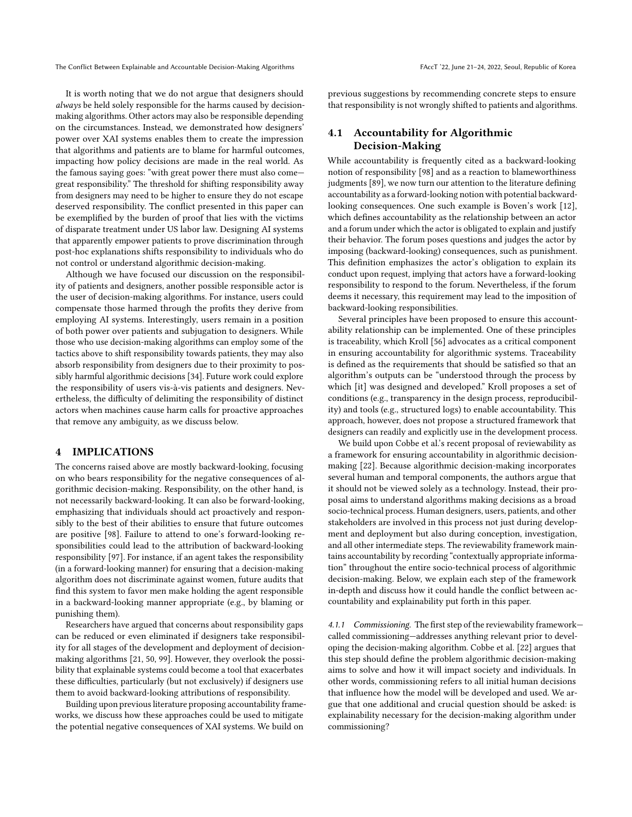It is worth noting that we do not argue that designers should always be held solely responsible for the harms caused by decisionmaking algorithms. Other actors may also be responsible depending on the circumstances. Instead, we demonstrated how designers' power over XAI systems enables them to create the impression that algorithms and patients are to blame for harmful outcomes, impacting how policy decisions are made in the real world. As the famous saying goes: "with great power there must also come great responsibility." The threshold for shifting responsibility away from designers may need to be higher to ensure they do not escape deserved responsibility. The conflict presented in this paper can be exemplified by the burden of proof that lies with the victims of disparate treatment under US labor law. Designing AI systems that apparently empower patients to prove discrimination through post-hoc explanations shifts responsibility to individuals who do not control or understand algorithmic decision-making.

Although we have focused our discussion on the responsibility of patients and designers, another possible responsible actor is the user of decision-making algorithms. For instance, users could compensate those harmed through the profits they derive from employing AI systems. Interestingly, users remain in a position of both power over patients and subjugation to designers. While those who use decision-making algorithms can employ some of the tactics above to shift responsibility towards patients, they may also absorb responsibility from designers due to their proximity to possibly harmful algorithmic decisions [\[34\]](#page-9-43). Future work could explore the responsibility of users vis-à-vis patients and designers. Nevertheless, the difficulty of delimiting the responsibility of distinct actors when machines cause harm calls for proactive approaches that remove any ambiguity, as we discuss below.

## 4 IMPLICATIONS

The concerns raised above are mostly backward-looking, focusing on who bears responsibility for the negative consequences of algorithmic decision-making. Responsibility, on the other hand, is not necessarily backward-looking. It can also be forward-looking, emphasizing that individuals should act proactively and responsibly to the best of their abilities to ensure that future outcomes are positive [\[98\]](#page-10-29). Failure to attend to one's forward-looking responsibilities could lead to the attribution of backward-looking responsibility [\[97\]](#page-10-43). For instance, if an agent takes the responsibility (in a forward-looking manner) for ensuring that a decision-making algorithm does not discriminate against women, future audits that find this system to favor men make holding the agent responsible in a backward-looking manner appropriate (e.g., by blaming or punishing them).

Researchers have argued that concerns about responsibility gaps can be reduced or even eliminated if designers take responsibility for all stages of the development and deployment of decisionmaking algorithms [\[21,](#page-9-21) [50,](#page-9-44) [99\]](#page-10-40). However, they overlook the possibility that explainable systems could become a tool that exacerbates these difficulties, particularly (but not exclusively) if designers use them to avoid backward-looking attributions of responsibility.

Building upon previous literature proposing accountability frameworks, we discuss how these approaches could be used to mitigate the potential negative consequences of XAI systems. We build on

previous suggestions by recommending concrete steps to ensure that responsibility is not wrongly shifted to patients and algorithms.

# 4.1 Accountability for Algorithmic Decision-Making

While accountability is frequently cited as a backward-looking notion of responsibility [\[98\]](#page-10-29) and as a reaction to blameworthiness judgments [\[89\]](#page-10-30), we now turn our attention to the literature defining accountability as a forward-looking notion with potential backwardlooking consequences. One such example is Boven's work [\[12\]](#page-9-45), which defines accountability as the relationship between an actor and a forum under which the actor is obligated to explain and justify their behavior. The forum poses questions and judges the actor by imposing (backward-looking) consequences, such as punishment. This definition emphasizes the actor's obligation to explain its conduct upon request, implying that actors have a forward-looking responsibility to respond to the forum. Nevertheless, if the forum deems it necessary, this requirement may lead to the imposition of backward-looking responsibilities.

Several principles have been proposed to ensure this accountability relationship can be implemented. One of these principles is traceability, which Kroll [\[56\]](#page-9-46) advocates as a critical component in ensuring accountability for algorithmic systems. Traceability is defined as the requirements that should be satisfied so that an algorithm's outputs can be "understood through the process by which [it] was designed and developed." Kroll proposes a set of conditions (e.g., transparency in the design process, reproducibility) and tools (e.g., structured logs) to enable accountability. This approach, however, does not propose a structured framework that designers can readily and explicitly use in the development process.

We build upon Cobbe et al.'s recent proposal of reviewability as a framework for ensuring accountability in algorithmic decisionmaking [\[22\]](#page-9-47). Because algorithmic decision-making incorporates several human and temporal components, the authors argue that it should not be viewed solely as a technology. Instead, their proposal aims to understand algorithms making decisions as a broad socio-technical process. Human designers, users, patients, and other stakeholders are involved in this process not just during development and deployment but also during conception, investigation, and all other intermediate steps. The reviewability framework maintains accountability by recording "contextually appropriate information" throughout the entire socio-technical process of algorithmic decision-making. Below, we explain each step of the framework in-depth and discuss how it could handle the conflict between accountability and explainability put forth in this paper.

4.1.1 Commissioning. The first step of the reviewability frameworkcalled commissioning—addresses anything relevant prior to developing the decision-making algorithm. Cobbe et al. [\[22\]](#page-9-47) argues that this step should define the problem algorithmic decision-making aims to solve and how it will impact society and individuals. In other words, commissioning refers to all initial human decisions that influence how the model will be developed and used. We argue that one additional and crucial question should be asked: is explainability necessary for the decision-making algorithm under commissioning?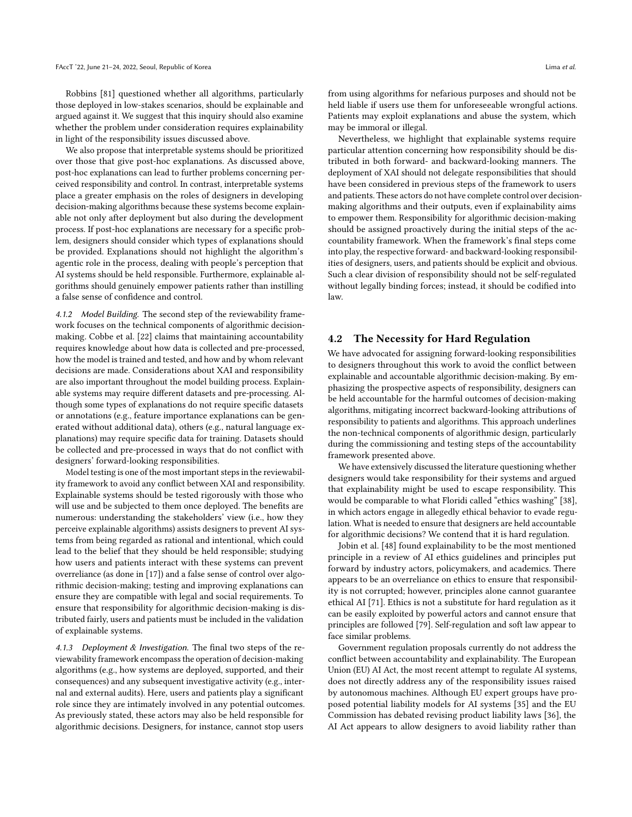Robbins [\[81\]](#page-10-5) questioned whether all algorithms, particularly those deployed in low-stakes scenarios, should be explainable and argued against it. We suggest that this inquiry should also examine whether the problem under consideration requires explainability in light of the responsibility issues discussed above.

We also propose that interpretable systems should be prioritized over those that give post-hoc explanations. As discussed above, post-hoc explanations can lead to further problems concerning perceived responsibility and control. In contrast, interpretable systems place a greater emphasis on the roles of designers in developing decision-making algorithms because these systems become explainable not only after deployment but also during the development process. If post-hoc explanations are necessary for a specific problem, designers should consider which types of explanations should be provided. Explanations should not highlight the algorithm's agentic role in the process, dealing with people's perception that AI systems should be held responsible. Furthermore, explainable algorithms should genuinely empower patients rather than instilling a false sense of confidence and control.

4.1.2 Model Building. The second step of the reviewability framework focuses on the technical components of algorithmic decisionmaking. Cobbe et al. [\[22\]](#page-9-47) claims that maintaining accountability requires knowledge about how data is collected and pre-processed, how the model is trained and tested, and how and by whom relevant decisions are made. Considerations about XAI and responsibility are also important throughout the model building process. Explainable systems may require different datasets and pre-processing. Although some types of explanations do not require specific datasets or annotations (e.g., feature importance explanations can be generated without additional data), others (e.g., natural language explanations) may require specific data for training. Datasets should be collected and pre-processed in ways that do not conflict with designers' forward-looking responsibilities.

Model testing is one of the most important steps in the reviewability framework to avoid any conflict between XAI and responsibility. Explainable systems should be tested rigorously with those who will use and be subjected to them once deployed. The benefits are numerous: understanding the stakeholders' view (i.e., how they perceive explainable algorithms) assists designers to prevent AI systems from being regarded as rational and intentional, which could lead to the belief that they should be held responsible; studying how users and patients interact with these systems can prevent overreliance (as done in [\[17\]](#page-9-48)) and a false sense of control over algorithmic decision-making; testing and improving explanations can ensure they are compatible with legal and social requirements. To ensure that responsibility for algorithmic decision-making is distributed fairly, users and patients must be included in the validation of explainable systems.

4.1.3 Deployment & Investigation. The final two steps of the reviewability framework encompass the operation of decision-making algorithms (e.g., how systems are deployed, supported, and their consequences) and any subsequent investigative activity (e.g., internal and external audits). Here, users and patients play a significant role since they are intimately involved in any potential outcomes. As previously stated, these actors may also be held responsible for algorithmic decisions. Designers, for instance, cannot stop users

from using algorithms for nefarious purposes and should not be held liable if users use them for unforeseeable wrongful actions. Patients may exploit explanations and abuse the system, which may be immoral or illegal.

Nevertheless, we highlight that explainable systems require particular attention concerning how responsibility should be distributed in both forward- and backward-looking manners. The deployment of XAI should not delegate responsibilities that should have been considered in previous steps of the framework to users and patients. These actors do not have complete control over decisionmaking algorithms and their outputs, even if explainability aims to empower them. Responsibility for algorithmic decision-making should be assigned proactively during the initial steps of the accountability framework. When the framework's final steps come into play, the respective forward- and backward-looking responsibilities of designers, users, and patients should be explicit and obvious. Such a clear division of responsibility should not be self-regulated without legally binding forces; instead, it should be codified into law.

## <span id="page-7-0"></span>4.2 The Necessity for Hard Regulation

We have advocated for assigning forward-looking responsibilities to designers throughout this work to avoid the conflict between explainable and accountable algorithmic decision-making. By emphasizing the prospective aspects of responsibility, designers can be held accountable for the harmful outcomes of decision-making algorithms, mitigating incorrect backward-looking attributions of responsibility to patients and algorithms. This approach underlines the non-technical components of algorithmic design, particularly during the commissioning and testing steps of the accountability framework presented above.

We have extensively discussed the literature questioning whether designers would take responsibility for their systems and argued that explainability might be used to escape responsibility. This would be comparable to what Floridi called "ethics washing" [\[38\]](#page-9-6), in which actors engage in allegedly ethical behavior to evade regulation. What is needed to ensure that designers are held accountable for algorithmic decisions? We contend that it is hard regulation.

Jobin et al. [\[48\]](#page-9-2) found explainability to be the most mentioned principle in a review of AI ethics guidelines and principles put forward by industry actors, policymakers, and academics. There appears to be an overreliance on ethics to ensure that responsibility is not corrupted; however, principles alone cannot guarantee ethical AI [\[71\]](#page-10-44). Ethics is not a substitute for hard regulation as it can be easily exploited by powerful actors and cannot ensure that principles are followed [\[79\]](#page-10-42). Self-regulation and soft law appear to face similar problems.

Government regulation proposals currently do not address the conflict between accountability and explainability. The European Union (EU) AI Act, the most recent attempt to regulate AI systems, does not directly address any of the responsibility issues raised by autonomous machines. Although EU expert groups have proposed potential liability models for AI systems [\[35\]](#page-9-49) and the EU Commission has debated revising product liability laws [\[36\]](#page-9-50), the AI Act appears to allow designers to avoid liability rather than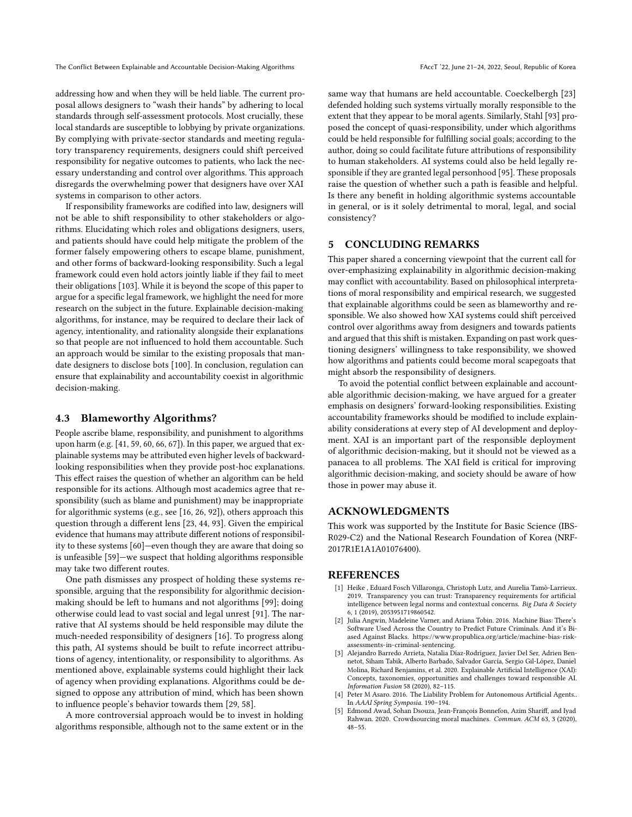addressing how and when they will be held liable. The current proposal allows designers to "wash their hands" by adhering to local standards through self-assessment protocols. Most crucially, these local standards are susceptible to lobbying by private organizations. By complying with private-sector standards and meeting regulatory transparency requirements, designers could shift perceived responsibility for negative outcomes to patients, who lack the necessary understanding and control over algorithms. This approach disregards the overwhelming power that designers have over XAI systems in comparison to other actors.

If responsibility frameworks are codified into law, designers will not be able to shift responsibility to other stakeholders or algorithms. Elucidating which roles and obligations designers, users, and patients should have could help mitigate the problem of the former falsely empowering others to escape blame, punishment, and other forms of backward-looking responsibility. Such a legal framework could even hold actors jointly liable if they fail to meet their obligations [\[103\]](#page-10-45). While it is beyond the scope of this paper to argue for a specific legal framework, we highlight the need for more research on the subject in the future. Explainable decision-making algorithms, for instance, may be required to declare their lack of agency, intentionality, and rationality alongside their explanations so that people are not influenced to hold them accountable. Such an approach would be similar to the existing proposals that mandate designers to disclose bots [\[100\]](#page-10-46). In conclusion, regulation can ensure that explainability and accountability coexist in algorithmic decision-making.

#### 4.3 Blameworthy Algorithms?

People ascribe blame, responsibility, and punishment to algorithms upon harm (e.g. [\[41,](#page-9-31) [59,](#page-10-27) [60,](#page-10-28) [66,](#page-10-26) [67\]](#page-10-47)). In this paper, we argued that explainable systems may be attributed even higher levels of backwardlooking responsibilities when they provide post-hoc explanations. This effect raises the question of whether an algorithm can be held responsible for its actions. Although most academics agree that responsibility (such as blame and punishment) may be inappropriate for algorithmic systems (e.g., see [\[16,](#page-9-19) [26,](#page-9-25) [92\]](#page-10-22)), others approach this question through a different lens [\[23,](#page-9-23) [44,](#page-9-27) [93\]](#page-10-19). Given the empirical evidence that humans may attribute different notions of responsibility to these systems [\[60\]](#page-10-28)—even though they are aware that doing so is unfeasible [\[59\]](#page-10-27)—we suspect that holding algorithms responsible may take two different routes.

One path dismisses any prospect of holding these systems responsible, arguing that the responsibility for algorithmic decisionmaking should be left to humans and not algorithms [\[99\]](#page-10-40); doing otherwise could lead to vast social and legal unrest [\[91\]](#page-10-21). The narrative that AI systems should be held responsible may dilute the much-needed responsibility of designers [\[16\]](#page-9-19). To progress along this path, AI systems should be built to refute incorrect attributions of agency, intentionality, or responsibility to algorithms. As mentioned above, explainable systems could highlight their lack of agency when providing explanations. Algorithms could be designed to oppose any attribution of mind, which has been shown to influence people's behavior towards them [\[29,](#page-9-51) [58\]](#page-10-48).

A more controversial approach would be to invest in holding algorithms responsible, although not to the same extent or in the same way that humans are held accountable. Coeckelbergh [\[23\]](#page-9-23) defended holding such systems virtually morally responsible to the extent that they appear to be moral agents. Similarly, Stahl [\[93\]](#page-10-19) proposed the concept of quasi-responsibility, under which algorithms could be held responsible for fulfilling social goals; according to the author, doing so could facilitate future attributions of responsibility to human stakeholders. AI systems could also be held legally responsible if they are granted legal personhood [\[95\]](#page-10-20). These proposals raise the question of whether such a path is feasible and helpful. Is there any benefit in holding algorithmic systems accountable in general, or is it solely detrimental to moral, legal, and social consistency?

# 5 CONCLUDING REMARKS

This paper shared a concerning viewpoint that the current call for over-emphasizing explainability in algorithmic decision-making may conflict with accountability. Based on philosophical interpretations of moral responsibility and empirical research, we suggested that explainable algorithms could be seen as blameworthy and responsible. We also showed how XAI systems could shift perceived control over algorithms away from designers and towards patients and argued that this shift is mistaken. Expanding on past work questioning designers' willingness to take responsibility, we showed how algorithms and patients could become moral scapegoats that might absorb the responsibility of designers.

To avoid the potential conflict between explainable and accountable algorithmic decision-making, we have argued for a greater emphasis on designers' forward-looking responsibilities. Existing accountability frameworks should be modified to include explainability considerations at every step of AI development and deployment. XAI is an important part of the responsible deployment of algorithmic decision-making, but it should not be viewed as a panacea to all problems. The XAI field is critical for improving algorithmic decision-making, and society should be aware of how those in power may abuse it.

#### ACKNOWLEDGMENTS

This work was supported by the Institute for Basic Science (IBS-R029-C2) and the National Research Foundation of Korea (NRF-2017R1E1A1A01076400).

#### REFERENCES

- <span id="page-8-3"></span>[1] Heike , Eduard Fosch Villaronga, Christoph Lutz, and Aurelia Tamò-Larrieux. 2019. Transparency you can trust: Transparency requirements for artificial intelligence between legal norms and contextual concerns. Big Data & Society 6, 1 (2019), 2053951719860542.
- <span id="page-8-0"></span>[2] Julia Angwin, Madeleine Varner, and Ariana Tobin. 2016. Machine Bias: There's Software Used Across the Country to Predict Future Criminals. And it's Biased Against Blacks. [https://www.propublica.org/article/machine-bias-risk](https://www.propublica.org/article/machine-bias-risk-assessments-in-criminal-sentencing)[assessments-in-criminal-sentencing.](https://www.propublica.org/article/machine-bias-risk-assessments-in-criminal-sentencing)
- <span id="page-8-1"></span>[3] Alejandro Barredo Arrieta, Natalia Díaz-Rodríguez, Javier Del Ser, Adrien Bennetot, Siham Tabik, Alberto Barbado, Salvador García, Sergio Gil-López, Daniel Molina, Richard Benjamins, et al. 2020. Explainable Artificial Intelligence (XAI): Concepts, taxonomies, opportunities and challenges toward responsible AI. Information Fusion 58 (2020), 82–115.
- <span id="page-8-2"></span>[4] Peter M Asaro. 2016. The Liability Problem for Autonomous Artificial Agents.. In AAAI Spring Symposia. 190–194.
- <span id="page-8-4"></span>[5] Edmond Awad, Sohan Dsouza, Jean-François Bonnefon, Azim Shariff, and Iyad Rahwan. 2020. Crowdsourcing moral machines. Commun. ACM 63, 3 (2020), 48–55.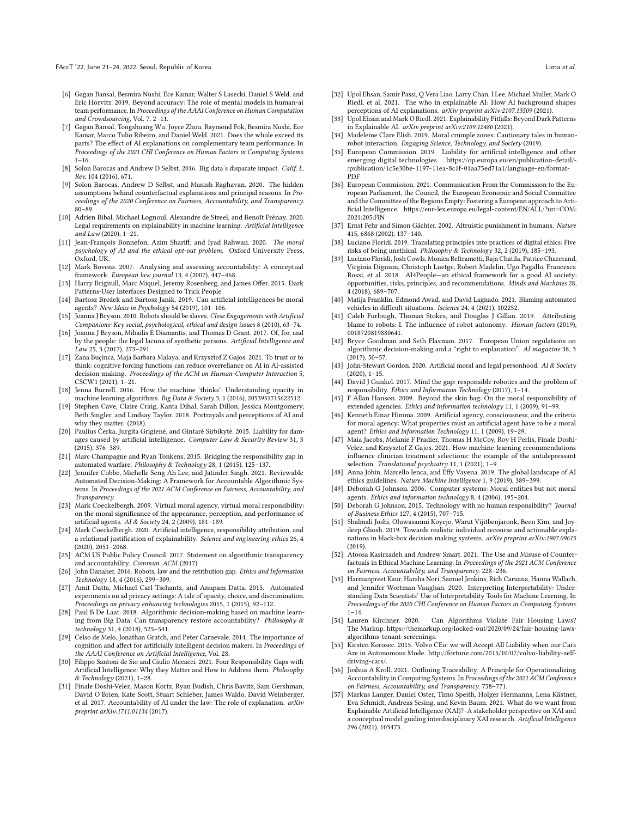- <span id="page-9-35"></span>[6] Gagan Bansal, Besmira Nushi, Ece Kamar, Walter S Lasecki, Daniel S Weld, and Eric Horvitz. 2019. Beyond accuracy: The role of mental models in human-ai team performance. In Proceedings of the AAAI Conference on Human Computation and Crowdsourcing, Vol. 7. 2–11.
- <span id="page-9-33"></span>[7] Gagan Bansal, Tongshuang Wu, Joyce Zhou, Raymond Fok, Besmira Nushi, Ece Kamar, Marco Tulio Ribeiro, and Daniel Weld. 2021. Does the whole exceed its parts? The effect of AI explanations on complementary team performance. In Proceedings of the 2021 CHI Conference on Human Factors in Computing Systems. 1–16.
- <span id="page-9-0"></span>Solon Barocas and Andrew D Selbst. 2016. Big data's disparate impact. Calif. L. Rev. 104 (2016), 671.
- <span id="page-9-13"></span>[9] Solon Barocas, Andrew D Selbst, and Manish Raghavan. 2020. The hidden assumptions behind counterfactual explanations and principal reasons. In Proceedings of the 2020 Conference on Fairness, Accountability, and Transparency. 80–89.
- <span id="page-9-11"></span>[10] Adrien Bibal, Michael Lognoul, Alexandre de Streel, and Benoît Frénay. 2020. Legal requirements on explainability in machine learning. Artificial Intelligence and Law (2020), 1–21.
- <span id="page-9-4"></span>[11] Jean-François Bonnefon, Azim Shariff, and Iyad Rahwan. 2020. The moral psychology of AI and the ethical opt-out problem. Oxford University Press, Oxford, UK.
- <span id="page-9-45"></span>[12] Mark Bovens. 2007. Analysing and assessing accountability: A conceptual framework. European law journal 13, 4 (2007), 447–468.
- <span id="page-9-42"></span>[13] Harry Brignull, Marc Miquel, Jeremy Rosenberg, and James Offer. 2015. Dark Patterns-User Interfaces Designed to Trick People.
- <span id="page-9-39"></span>[14] Bartosz Brożek and Bartosz Janik. 2019. Can artificial intelligences be moral agents? New Ideas in Psychology 54 (2019), 101–106.
- <span id="page-9-17"></span>[15] Joanna J Bryson, 2010. Robots should be slaves. Close Engagements with Artificial Companions: Key social, psychological, ethical and design issues 8 (2010), 63–74.
- <span id="page-9-19"></span>[16] Joanna J Bryson, Mihailis E Diamantis, and Thomas D Grant. 2017. Of, for, and by the people: the legal lacuna of synthetic persons. Artificial Intelligence and Law 25, 3 (2017), 273–291.
- <span id="page-9-48"></span>[17] Zana Buçinca, Maja Barbara Malaya, and Krzysztof Z Gajos. 2021. To trust or to think: cognitive forcing functions can reduce overreliance on AI in AI-assisted decision-making. Proceedings of the ACM on Human-Computer Interaction 5, CSCW1 (2021), 1–21.
- <span id="page-9-10"></span>[18] Jenna Burrell. 2016. How the machine 'thinks': Understanding opacity in machine learning algorithms. Big Data & Society 3, 1 (2016), 2053951715622512.
- <span id="page-9-5"></span>[19] Stephen Cave, Claire Craig, Kanta Dihal, Sarah Dillon, Jessica Montgomery, Beth Singler, and Lindsay Taylor. 2018. Portrayals and perceptions of AI and why they matter. (2018).
- <span id="page-9-40"></span>[20] Paulius Čerka, Jurgita Grigiene, and Gintare Sirbikyte. 2015. Liability for damages caused by artificial intelligence. Computer Law & Security Review 31, 3 (2015), 376–389.
- <span id="page-9-21"></span>[21] Marc Champagne and Ryan Tonkens. 2015. Bridging the responsibility gap in automated warfare. Philosophy & Technology 28, 1 (2015), 125–137.
- <span id="page-9-47"></span>[22] Jennifer Cobbe, Michelle Seng Ah Lee, and Jatinder Singh. 2021. Reviewable Automated Decision-Making: A Framework for Accountable Algorithmic Systems. In Proceedings of the 2021 ACM Conference on Fairness, Accountability, and **Transparency**
- <span id="page-9-23"></span>[23] Mark Coeckelbergh. 2009. Virtual moral agency, virtual moral responsibility: on the moral significance of the appearance, perception, and performance of artificial agents. AI & Society 24, 2 (2009), 181–189.
- <span id="page-9-20"></span>[24] Mark Coeckelbergh. 2020. Artificial intelligence, responsibility attribution, and a relational justification of explainability. Science and engineering ethics 26, 4 (2020), 2051–2068.
- <span id="page-9-8"></span>[25] ACM US Public Policy Council. 2017. Statement on algorithmic transparency and accountability. Commun. ACM (2017).
- <span id="page-9-25"></span>[26] John Danaher. 2016. Robots, law and the retribution gap. Ethics and Information Technology 18, 4 (2016), 299–309.
- <span id="page-9-1"></span>[27] Amit Datta, Michael Carl Tschantz, and Anupam Datta. 2015. Automated experiments on ad privacy settings: A tale of opacity, choice, and discrimination. Proceedings on privacy enhancing technologies 2015, 1 (2015), 92–112.
- <span id="page-9-15"></span>[28] Paul B De Laat. 2018. Algorithmic decision-making based on machine learning from Big Data: Can transparency restore accountability? Philosophy & technology 31, 4 (2018), 525–541.
- <span id="page-9-51"></span>[29] Celso de Melo, Jonathan Gratch, and Peter Carnevale. 2014. The importance of cognition and affect for artificially intelligent decision makers. In Proceedings of the AAAI Conference on Artificial Intelligence, Vol. 28.
- <span id="page-9-16"></span>[30] Filippo Santoni de Sio and Giulio Mecacci. 2021. Four Responsibility Gaps with Artificial Intelligence: Why they Matter and How to Address them. Philosophy & Technology (2021), 1–28.
- <span id="page-9-30"></span>[31] Finale Doshi-Velez, Mason Kortz, Ryan Budish, Chris Bavitz, Sam Gershman, David O'Brien, Kate Scott, Stuart Schieber, James Waldo, David Weinberger, et al. 2017. Accountability of AI under the law: The role of explanation. arXiv preprint arXiv:1711.01134 (2017).
- <span id="page-9-36"></span>[32] Upol Ehsan, Samir Passi, Q Vera Liao, Larry Chan, I Lee, Michael Muller, Mark O Riedl, et al. 2021. The who in explainable AI: How AI background shapes perceptions of AI explanations. arXiv preprint arXiv:2107.13509 (2021).
- <span id="page-9-7"></span>[33] Upol Ehsan and Mark O Riedl. 2021. Explainability Pitfalls: Beyond Dark Patterns in Explainable AI. arXiv preprint arXiv:2109.12480 (2021).
- <span id="page-9-43"></span>[34] Madeleine Clare Elish. 2019. Moral crumple zones: Cautionary tales in humanrobot interaction. Engaging Science, Technology, and Society (2019).
- <span id="page-9-49"></span>[35] European Commission. 2019. Liability for artificial intelligence and other emerging digital technologies. [https://op.europa.eu/en/publication-detail/-](https://op.europa.eu/en/publication-detail/-/publication/1c5e30be-1197-11ea-8c1f-01aa75ed71a1/language-en/format-PDF) [/publication/1c5e30be-1197-11ea-8c1f-01aa75ed71a1/language-en/format-](https://op.europa.eu/en/publication-detail/-/publication/1c5e30be-1197-11ea-8c1f-01aa75ed71a1/language-en/format-PDF)[PDF](https://op.europa.eu/en/publication-detail/-/publication/1c5e30be-1197-11ea-8c1f-01aa75ed71a1/language-en/format-PDF)
- <span id="page-9-50"></span>[36] European Commission. 2021. Communication From the Commission to the European Parliament, the Council, the European Economic and Social Committee and the Committee of the Regions Empty: Fostering a European approach to Artificial Intelligence. [https://eur-lex.europa.eu/legal-content/EN/ALL/?uri=COM:](https://eur-lex.europa.eu/legal-content/EN/ALL/?uri=COM:2021:205:FIN) [2021:205:FIN](https://eur-lex.europa.eu/legal-content/EN/ALL/?uri=COM:2021:205:FIN)
- <span id="page-9-41"></span>[37] Ernst Fehr and Simon Gächter. 2002. Altruistic punishment in humans. Nature 415, 6868 (2002), 137–140.
- <span id="page-9-6"></span>[38] Luciano Floridi. 2019. Translating principles into practices of digital ethics: Five risks of being unethical. Philosophy & Technology 32, 2 (2019), 185–193.
- <span id="page-9-9"></span>[39] Luciano Floridi, Josh Cowls, Monica Beltrametti, Raja Chatila, Patrice Chazerand, Virginia Dignum, Christoph Luetge, Robert Madelin, Ugo Pagallo, Francesca Rossi, et al. 2018. AI4People—an ethical framework for a good AI society: opportunities, risks, principles, and recommendations. Minds and Machines 28,  $4(2018), 689-707.$
- <span id="page-9-32"></span>[40] Matija Franklin, Edmond Awad, and David Lagnado. 2021. Blaming automated vehicles in difficult situations. Iscience 24, 4 (2021), 102252.
- <span id="page-9-31"></span>[41] Caleb Furlough, Thomas Stokes, and Douglas J Gillan. 2019. Attributing blame to robots: I. The influence of robot autonomy. Human factors (2019), 0018720819880641.
- <span id="page-9-12"></span>[42] Bryce Goodman and Seth Flaxman. 2017. European Union regulations on algorithmic decision-making and a "right to explanation". AI magazine 38, 3 (2017), 50–57.
- <span id="page-9-24"></span>[43] John-Stewart Gordon. 2020. Artificial moral and legal personhood. AI & Society (2020), 1–15.
- <span id="page-9-27"></span>[44] David J Gunkel. 2017. Mind the gap: responsible robotics and the problem of responsibility. Ethics and Information Technology (2017), 1–14.
- <span id="page-9-28"></span>[45] F Allan Hanson. 2009. Beyond the skin bag: On the moral responsibility of extended agencies. Ethics and information technology 11, 1 (2009), 91–99.
- <span id="page-9-26"></span>[46] Kenneth Einar Himma. 2009. Artificial agency, consciousness, and the criteria for moral agency: What properties must an artificial agent have to be a moral agent? Ethics and Information Technology 11, 1 (2009), 19–29.
- <span id="page-9-34"></span>[47] Maia Jacobs, Melanie F Pradier, Thomas H McCoy, Roy H Perlis, Finale Doshi-Velez, and Krzysztof Z Gajos. 2021. How machine-learning recommendations influence clinician treatment selections: the example of the antidepressant selection. Translational psychiatry 11, 1 (2021), 1–9.
- <span id="page-9-2"></span>[48] Anna Jobin, Marcello Ienca, and Effy Vayena. 2019. The global landscape of AI ethics guidelines. Nature Machine Intelligence 1, 9 (2019), 389–399.
- <span id="page-9-18"></span>[49] Deborah G Johnson. 2006. Computer systems: Moral entities but not moral agents. Ethics and information technology 8, 4 (2006), 195–204.
- <span id="page-9-44"></span>[50] Deborah G Johnson. 2015. Technology with no human responsibility? Journal of Business Ethics 127, 4 (2015), 707–715.
- <span id="page-9-38"></span>[51] Shalmali Joshi, Oluwasanmi Koyejo, Warut Vijitbenjaronk, Been Kim, and Joydeep Ghosh. 2019. Towards realistic individual recourse and actionable explanations in black-box decision making systems. arXiv preprint arXiv:1907.09615 (2019).
- <span id="page-9-14"></span>[52] Atoosa Kasirzadeh and Andrew Smart. 2021. The Use and Misuse of Counterfactuals in Ethical Machine Learning. In Proceedings of the 2021 ACM Conference on Fairness, Accountability, and Transparency. 228–236.
- <span id="page-9-37"></span>[53] Harmanpreet Kaur, Harsha Nori, Samuel Jenkins, Rich Caruana, Hanna Wallach, and Jennifer Wortman Vaughan. 2020. Interpreting Interpretability: Understanding Data Scientists' Use of Interpretability Tools for Machine Learning. In Proceedings of the 2020 CHI Conference on Human Factors in Computing Systems.  $1 - 14.$
- <span id="page-9-29"></span>[54] Lauren Kirchner. 2020. Can Algorithms Violate Fair Housing Laws? The Markup. [https://themarkup.org/locked-out/2020/09/24/fair-housing-laws](https://themarkup.org/locked-out/2020/09/24/fair-housing-laws-algorithms-tenant-screenings)[algorithms-tenant-screenings.](https://themarkup.org/locked-out/2020/09/24/fair-housing-laws-algorithms-tenant-screenings)
- <span id="page-9-22"></span>[55] Kirsten Korosec. 2015. Volvo CEo: we will Accept All Liability when our Cars Are in Autonomous Mode. [http://fortune.com/2015/10/07/volvo-liability-self](http://fortune.com/2015/10/07/volvo-liability-self-driving-cars/)[driving-cars/.](http://fortune.com/2015/10/07/volvo-liability-self-driving-cars/)
- <span id="page-9-46"></span>[56] Joshua A Kroll. 2021. Outlining Traceability: A Principle for Operationalizing Accountability in Computing Systems. In Proceedings of the 2021 ACM Conference on Fairness, Accountability, and Transparency. 758–771.
- <span id="page-9-3"></span>[57] Markus Langer, Daniel Oster, Timo Speith, Holger Hermanns, Lena Kästner, Eva Schmidt, Andreas Sesing, and Kevin Baum. 2021. What do we want from Explainable Artificial Intelligence (XAI)?–A stakeholder perspective on XAI and a conceptual model guiding interdisciplinary XAI research. Artificial Intelligence 296 (2021), 103473.